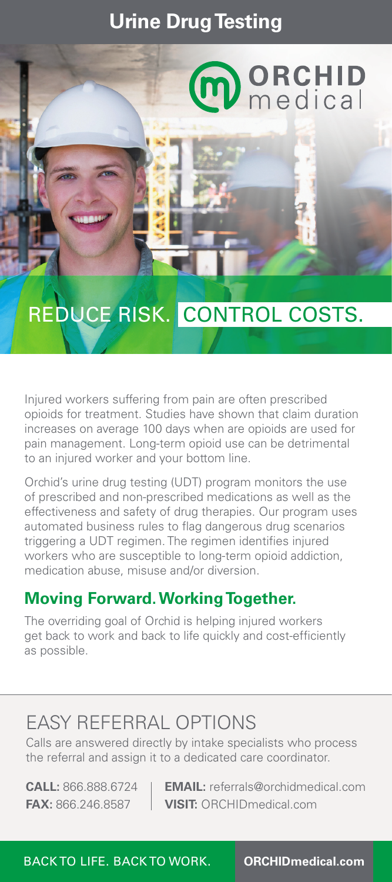### **Urine Drug Testing**



# REDUCE RISK. CONTROL COSTS.

Injured workers suffering from pain are often prescribed opioids for treatment. Studies have shown that claim duration increases on average 100 days when are opioids are used for pain management. Long-term opioid use can be detrimental to an injured worker and your bottom line.

Orchid's urine drug testing (UDT) program monitors the use of prescribed and non-prescribed medications as well as the effectiveness and safety of drug therapies. Our program uses automated business rules to flag dangerous drug scenarios triggering a UDT regimen. The regimen identifies injured workers who are susceptible to long-term opioid addiction, medication abuse, misuse and/or diversion.

### **Moving Forward. Working Together.**

The overriding goal of Orchid is helping injured workers get back to work and back to life quickly and cost-efficiently as possible.

## EASY REFERRAL OPTIONS

Calls are answered directly by intake specialists who process the referral and assign it to a dedicated care coordinator.

**CALL:** 866.888.6724 **EMAIL:** referrals@orchidmedical.com **FAX:** 866.246.8587 **VISIT:** ORCHIDmedical.com

BACK TO LIFE. BACK TO WORK. **ORCHIDmedical.com**